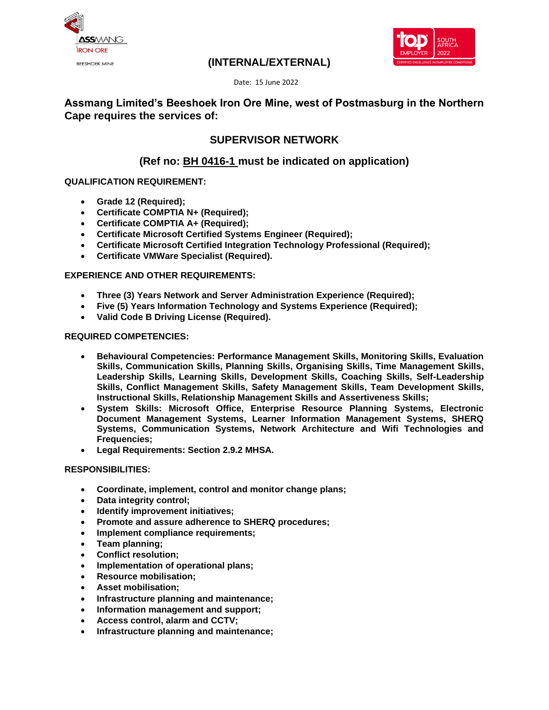



## **(INTERNAL/EXTERNAL)**

Date: 15 June 2022

## **Assmang Limited's Beeshoek Iron Ore Mine, west of Postmasburg in the Northern Cape requires the services of:**

## **SUPERVISOR NETWORK**

## **(Ref no: BH 0416-1 must be indicated on application)**

#### **QUALIFICATION REQUIREMENT:**

- **Grade 12 (Required);**
- **Certificate COMPTIA N+ (Required);**
- **Certificate COMPTIA A+ (Required);**
- **Certificate Microsoft Certified Systems Engineer (Required);**
- **Certificate Microsoft Certified Integration Technology Professional (Required);**
- **Certificate VMWare Specialist (Required).**

#### **EXPERIENCE AND OTHER REQUIREMENTS:**

- **Three (3) Years Network and Server Administration Experience (Required);**
- **Five (5) Years Information Technology and Systems Experience (Required);**
- **Valid Code B Driving License (Required).**

#### **REQUIRED COMPETENCIES:**

- **Behavioural Competencies: Performance Management Skills, Monitoring Skills, Evaluation Skills, Communication Skills, Planning Skills, Organising Skills, Time Management Skills, Leadership Skills, Learning Skills, Development Skills, Coaching Skills, Self-Leadership Skills, Conflict Management Skills, Safety Management Skills, Team Development Skills, Instructional Skills, Relationship Management Skills and Assertiveness Skills;**
- **System Skills: Microsoft Office, Enterprise Resource Planning Systems, Electronic Document Management Systems, Learner Information Management Systems, SHERQ Systems, Communication Systems, Network Architecture and Wifi Technologies and Frequencies;**
- **Legal Requirements: Section 2.9.2 MHSA.**

#### **RESPONSIBILITIES:**

- **Coordinate, implement, control and monitor change plans;**
- **Data integrity control;**
- **Identify improvement initiatives;**
- **Promote and assure adherence to SHERQ procedures;**
- **Implement compliance requirements;**
- **Team planning;**
- **Conflict resolution;**
- **Implementation of operational plans;**
- **Resource mobilisation;**
- **Asset mobilisation;**
- **Infrastructure planning and maintenance;**
- **Information management and support;**
- **Access control, alarm and CCTV;**
- **Infrastructure planning and maintenance;**